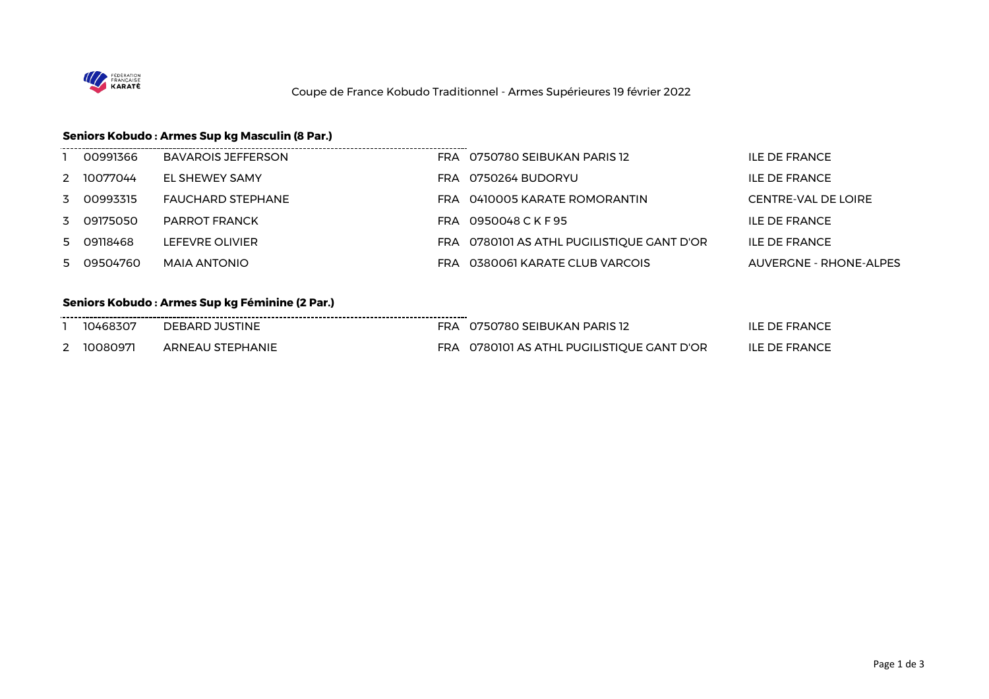

## **Seniors Kobudo : Armes Sup kg Masculin (8 Par.)**

| 00991366   | BAVAROIS JEFFERSON   | FRA 0750780 SEIBUKAN PARIS 12              | ILE DE FRANCE                 |
|------------|----------------------|--------------------------------------------|-------------------------------|
| 2 10077044 | EL SHEWEY SAMY       | FRA 0750264 BUDORYU                        | ILE DE FRANCE                 |
| 3 00993315 | FAUCHARD STEPHANE    | FRA 0410005 KARATE ROMORANTIN              | CENTRE-VAL DE LOIRE           |
| 3 09175050 | <b>PARROT FRANCK</b> | FRA 0950048 C K F 95                       | ILE DE FRANCE                 |
| 5 09118468 | LEFEVRE OLIVIER      | FRA 0780101 AS ATHL PUGILISTIQUE GANT D'OR | <b>ILE DE FRANCE</b>          |
| 5 09504760 | MAIA ANTONIO         | FRA 0380061 KARATE CLUB VARCOIS            | <b>AUVERGNE - RHONE-ALPES</b> |

## **Seniors Kobudo : Armes Sup kg Féminine (2 Par.)**

|   | 10468307 | DEBARD JUSTINE   | FRA 0750780 SEIBUKAN PARIS 12              | <b>ILE DE FRANCE</b> |
|---|----------|------------------|--------------------------------------------|----------------------|
| _ | 10080971 | ARNEAU STEPHANIE | FRA 0780101 AS ATHL PUGILISTIQUE GANT D'OR | ILE DE FRANCE        |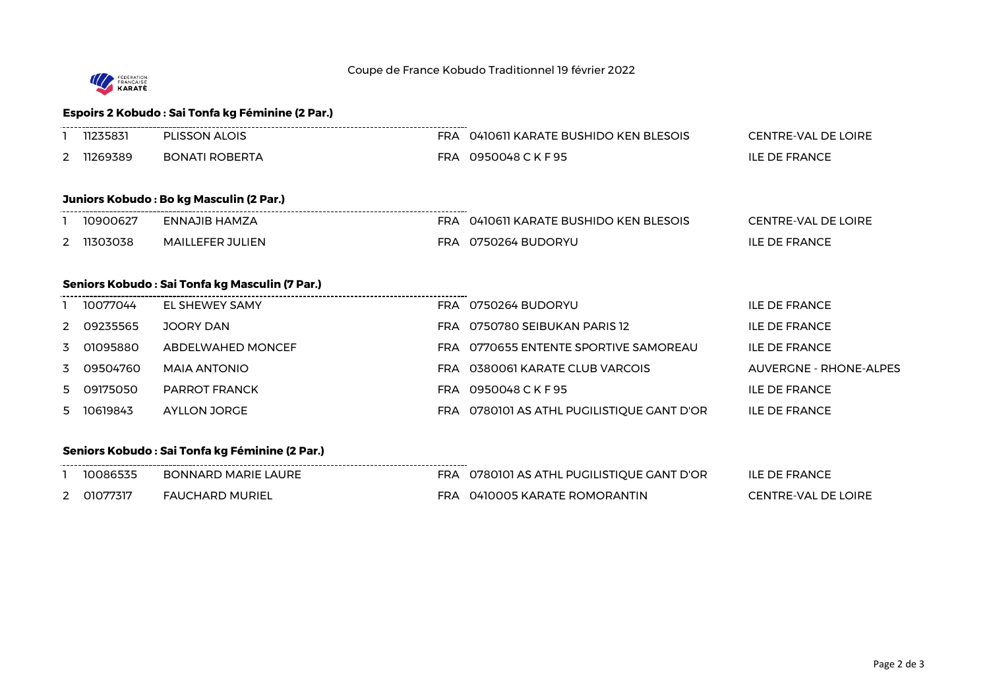

### **Espoirs 2 Kobudo : Sai Tonfa kg Féminine (2 Par.)**

|                          | PLISSON ALOIS<br>◡ |     | 0410611 KARATE BUSHIDO KEN BLESOIS | CENTRE-VAL DE LOIRE  |
|--------------------------|--------------------|-----|------------------------------------|----------------------|
| $\overline{\phantom{a}}$ | BONATI ROBERTA     | ™RA | 0950048 C K F 95                   | <b>ILE DE FRANCE</b> |

#### **Juniors Kobudo : Bo kg Masculin (2 Par.)**

| 10900627   | ENNAJIB HAMZA    | FRA 0410611 KARATE BUSHIDO KEN BLESOIS | CENTRE-VAL DE LOIRE  |
|------------|------------------|----------------------------------------|----------------------|
| 2 11303038 | MAILLEFER JULIEN | FRA 0750264 BUDORYU                    | <b>ILE DE FRANCE</b> |

----------------------

#### **Seniors Kobudo : Sai Tonfa kg Masculin (7 Par.)**

| 10077044   | EL SHEWEY SAMY       | FRA 0750264 BUDORYU                        | ILE DE FRANCE          |
|------------|----------------------|--------------------------------------------|------------------------|
| 2 09235565 | JOORY DAN            | FRA 0750780 SEIBUKAN PARIS 12              | ILE DE FRANCE          |
| 3 01095880 | ABDELWAHED MONCEF    | FRA 0770655 ENTENTE SPORTIVE SAMOREAU      | <b>ILE DE FRANCE</b>   |
| 3 09504760 | MAIA ANTONIO         | FRA 0380061 KARATE CLUB VARCOIS            | AUVERGNE - RHONE-ALPES |
| 5 09175050 | <b>PARROT FRANCK</b> | FRA 0950048 C K F 95                       | <b>ILE DE FRANCE</b>   |
| 5 10619843 | AYLLON JORGE         | FRA 0780101 AS ATHL PUGILISTIQUE GANT D'OR | ILE DE FRANCE          |

### **Seniors Kobudo : Sai Tonfa kg Féminine (2 Par.)**

|               | 10086535   | <b>BONNARD MARIE LAURE</b> | FRA. | 0780101 AS ATHL PUGILISTIQUE GANT D'OR | <b>ILE DE FRANCE</b>       |
|---------------|------------|----------------------------|------|----------------------------------------|----------------------------|
| $\mathcal{L}$ | _ 01077317 | <b>FAUCHARD MURIEL</b>     | FRA  | 0410005 KARATE ROMORANTIN              | <b>CENTRE-VAL DE LOIRE</b> |